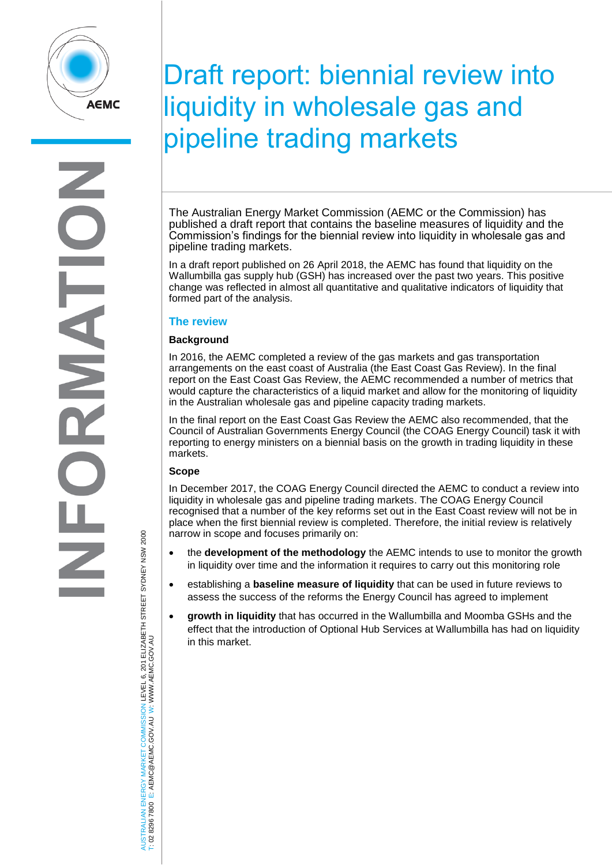

# Draft report: biennial review into liquidity in wholesale gas and pipeline trading markets

The Australian Energy Market Commission (AEMC or the Commission) has published a draft report that contains the baseline measures of liquidity and the Commission's findings for the biennial review into liquidity in wholesale gas and pipeline trading markets.

In a draft report published on 26 April 2018, the AEMC has found that liquidity on the Wallumbilla gas supply hub (GSH) has increased over the past two years. This positive change was reflected in almost all quantitative and qualitative indicators of liquidity that formed part of the analysis.

### **The review**

#### **Background**

In 2016, the AEMC completed a review of the gas markets and gas transportation arrangements on the east coast of Australia (the East Coast Gas Review). In the final report on the East Coast Gas Review, the AEMC recommended a number of metrics that would capture the characteristics of a liquid market and allow for the monitoring of liquidity in the Australian wholesale gas and pipeline capacity trading markets.

In the final report on the East Coast Gas Review the AEMC also recommended, that the Council of Australian Governments Energy Council (the COAG Energy Council) task it with reporting to energy ministers on a biennial basis on the growth in trading liquidity in these markets.

#### **Scope**

In December 2017, the COAG Energy Council directed the AEMC to conduct a review into liquidity in wholesale gas and pipeline trading markets. The COAG Energy Council recognised that a number of the key reforms set out in the East Coast review will not be in place when the first biennial review is completed. Therefore, the initial review is relatively narrow in scope and focuses primarily on:

- the **development of the methodology** the AEMC intends to use to monitor the growth in liquidity over time and the information it requires to carry out this monitoring role
- establishing a **baseline measure of liquidity** that can be used in future reviews to assess the success of the reforms the Energy Council has agreed to implement
- **growth in liquidity** that has occurred in the Wallumbilla and Moomba GSHs and the effect that the introduction of Optional Hub Services at Wallumbilla has had on liquidity in this market.

AUSTRALIAN ENERGY MARKET COMMISSION LEVEL 6, 201 ELIZABETH STREET SYDNEY NSW 2000 AUSTRALIAN ENERGY MARKET COMMISSION LEVEL 6, 201 ELIZABETH STREET SYDNEY NSW 2000<br>T: 02 8296 7800 E: AEMC@AEMC.GOV.AU W: WWW.AEMC.GOV.AU W: WWW.AEMC.GOV.AU T: 02 8296 7800 E: AEMC@AEMC.GOV.AU